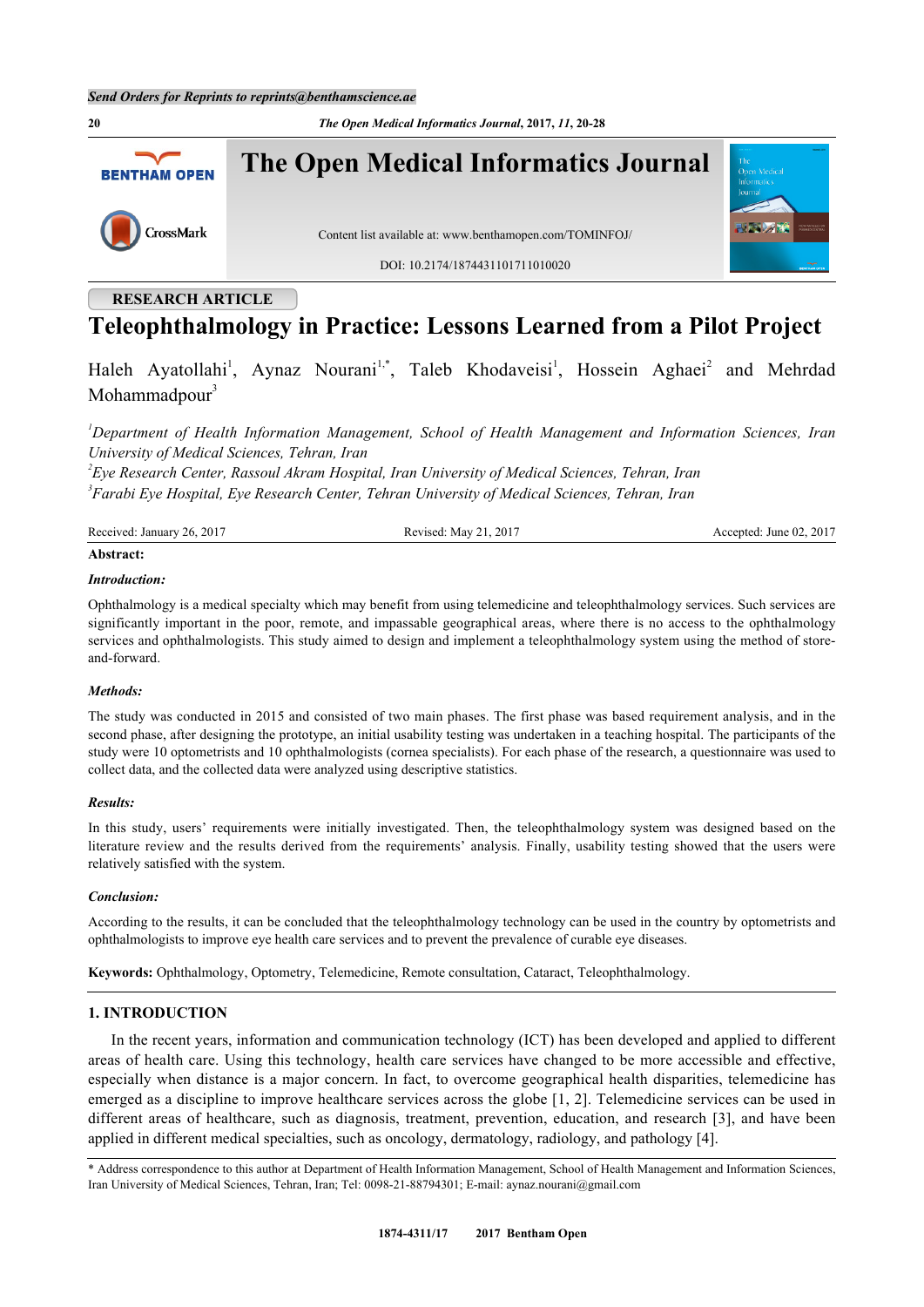**20** *The Open Medical Informatics Journal***, 2017,** *11***, 20-28 The Open Medical Informatics Journal BENTHAM OPEN** CrossMark Content list available at: [www.benthamopen.com/TOMINFOJ/](http://www.benthamopen.com/TOMINFOJ/) DOI: [10.2174/1874431101711010020](http://dx.doi.org/10.2174/1874431101711010020)

# **RESEARCH ARTICLE**

# **Teleophthalmology in Practice: Lessons Learned from a Pilot Project**

Haleh Ayatollahi<sup>[1](#page-0-0)</sup>, Aynaz Nourani<sup>1[,\\*](#page-0-1)</sup>, Taleb Khodaveisi<sup>1</sup>, Hossein Aghaei<sup>[2](#page-0-2)</sup> and Mehrdad Mohammadpour $3$ 

<span id="page-0-0"></span>*<sup>1</sup>Department of Health Information Management, School of Health Management and Information Sciences, Iran University of Medical Sciences, Tehran, Iran*

<span id="page-0-3"></span><span id="page-0-2"></span>*2 Eye Research Center, Rassoul Akram Hospital, Iran University of Medical Sciences, Tehran, Iran 3 Farabi Eye Hospital, Eye Research Center, Tehran University of Medical Sciences, Tehran, Iran*

| $201$ <sup>-</sup><br>$\mathbf{r}$ .<br>ገሬ<br>Received:<br>January | .2017<br>$\sim$ 1<br>May<br><b>Revised</b><br>'' | 2017<br>June $02$ .<br>ccepted.<br>71 M |
|--------------------------------------------------------------------|--------------------------------------------------|-----------------------------------------|
|                                                                    |                                                  |                                         |

# **Abstract:**

### *Introduction:*

Ophthalmology is a medical specialty which may benefit from using telemedicine and teleophthalmology services. Such services are significantly important in the poor, remote, and impassable geographical areas, where there is no access to the ophthalmology services and ophthalmologists. This study aimed to design and implement a teleophthalmology system using the method of storeand-forward.

# *Methods:*

The study was conducted in 2015 and consisted of two main phases. The first phase was based requirement analysis, and in the second phase, after designing the prototype, an initial usability testing was undertaken in a teaching hospital. The participants of the study were 10 optometrists and 10 ophthalmologists (cornea specialists). For each phase of the research, a questionnaire was used to collect data, and the collected data were analyzed using descriptive statistics.

# *Results:*

In this study, users' requirements were initially investigated. Then, the teleophthalmology system was designed based on the literature review and the results derived from the requirements' analysis. Finally, usability testing showed that the users were relatively satisfied with the system.

# *Conclusion:*

According to the results, it can be concluded that the teleophthalmology technology can be used in the country by optometrists and ophthalmologists to improve eye health care services and to prevent the prevalence of curable eye diseases.

**Keywords:** Ophthalmology, Optometry, Telemedicine, Remote consultation, Cataract, Teleophthalmology.

# **1. INTRODUCTION**

In the recent years, information and communication technology (ICT) has been developed and applied to different areas of health care. Using this technology, health care services have changed to be more accessible and effective, especially when distance is a major concern. In fact, to overcome geographical health disparities, telemedicine has emerged as a discipline to improve healthcare services across the globe [\[1,](#page-6-0) [2](#page-6-1)]. Telemedicine services can be used in different areas of healthcare, such as diagnosis, treatment, prevention, education, and research [[3\]](#page-6-2), and have been applied in different medical specialties, such as oncology, dermatology, radiology, and pathology [\[4](#page-6-3)].

<span id="page-0-1"></span><sup>\*</sup> Address correspondence to this author at Department of Health Information Management, School of Health Management and Information Sciences, Iran University of Medical Sciences, Tehran, Iran; Tel: 0098-21-88794301; E-mail: [aynaz.nourani@gmail.com](mailto:aynaz.nourani@gmail.com)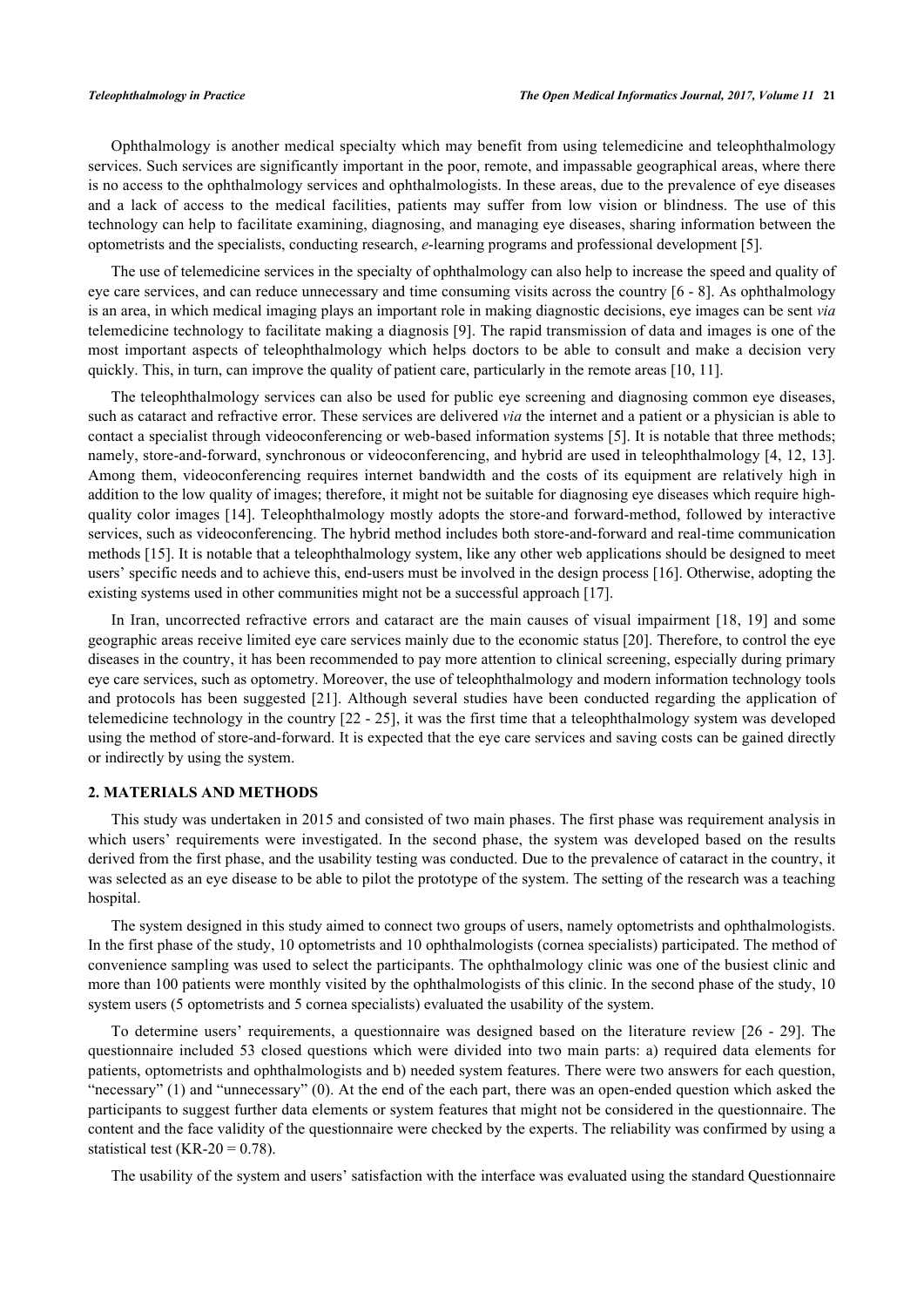Ophthalmology is another medical specialty which may benefit from using telemedicine and teleophthalmology services. Such services are significantly important in the poor, remote, and impassable geographical areas, where there is no access to the ophthalmology services and ophthalmologists. In these areas, due to the prevalence of eye diseases and a lack of access to the medical facilities, patients may suffer from low vision or blindness. The use of this technology can help to facilitate examining, diagnosing, and managing eye diseases, sharing information between the optometrists and the specialists, conducting research, *e*-learning programs and professional development [[5\]](#page-6-4).

The use of telemedicine services in the specialty of ophthalmology can also help to increase the speed and quality of eye care services, and can reduce unnecessary and time consuming visits across the country [[6](#page-6-5) - [8\]](#page-6-6). As ophthalmology is an area, in which medical imaging plays an important role in making diagnostic decisions, eye images can be sent *via* telemedicine technology to facilitate making a diagnosis [[9\]](#page-6-7). The rapid transmission of data and images is one of the most important aspects of teleophthalmology which helps doctors to be able to consult and make a decision very quickly. This, in turn, can improve the quality of patient care, particularly in the remote areas [[10,](#page-6-8) [11\]](#page-6-9).

The teleophthalmology services can also be used for public eye screening and diagnosing common eye diseases, such as cataract and refractive error. These services are delivered *via* the internet and a patient or a physician is able to contact a specialist through videoconferencing or web-based information systems [\[5](#page-6-4)]. It is notable that three methods; namely, store-and-forward, synchronous or videoconferencing, and hybrid are used in teleophthalmology [\[4](#page-6-3), [12,](#page-6-10) [13\]](#page-7-0). Among them, videoconferencing requires internet bandwidth and the costs of its equipment are relatively high in addition to the low quality of images; therefore, it might not be suitable for diagnosing eye diseases which require highquality color images [[14\]](#page-7-1). Teleophthalmology mostly adopts the store-and forward-method, followed by interactive services, such as videoconferencing. The hybrid method includes both store-and-forward and real-time communication methods [[15\]](#page-7-2). It is notable that a teleophthalmology system, like any other web applications should be designed to meet users' specific needs and to achieve this, end-users must be involved in the design process [\[16](#page-7-3)]. Otherwise, adopting the existing systems used in other communities might not be a successful approach [\[17](#page-7-4)].

In Iran, uncorrected refractive errors and cataract are the main causes of visual impairment [[18](#page-7-5), [19\]](#page-7-6) and some geographic areas receive limited eye care services mainly due to the economic status [[20\]](#page-7-7). Therefore, to control the eye diseases in the country, it has been recommended to pay more attention to clinical screening, especially during primary eye care services, such as optometry. Moreover, the use of teleophthalmology and modern information technology tools and protocols has been suggested [\[21](#page-7-8)]. Although several studies have been conducted regarding the application of telemedicine technology in the country [[22](#page-7-9) - [25\]](#page-7-10), it was the first time that a teleophthalmology system was developed using the method of store-and-forward. It is expected that the eye care services and saving costs can be gained directly or indirectly by using the system.

## **2. MATERIALS AND METHODS**

This study was undertaken in 2015 and consisted of two main phases. The first phase was requirement analysis in which users' requirements were investigated. In the second phase, the system was developed based on the results derived from the first phase, and the usability testing was conducted. Due to the prevalence of cataract in the country, it was selected as an eye disease to be able to pilot the prototype of the system. The setting of the research was a teaching hospital.

The system designed in this study aimed to connect two groups of users, namely optometrists and ophthalmologists. In the first phase of the study, 10 optometrists and 10 ophthalmologists (cornea specialists) participated. The method of convenience sampling was used to select the participants. The ophthalmology clinic was one of the busiest clinic and more than 100 patients were monthly visited by the ophthalmologists of this clinic. In the second phase of the study, 10 system users (5 optometrists and 5 cornea specialists) evaluated the usability of the system.

To determine users' requirements, a questionnaire was designed based on the literature review [\[26](#page-7-11) - [29\]](#page-7-12). The questionnaire included 53 closed questions which were divided into two main parts: a) required data elements for patients, optometrists and ophthalmologists and b) needed system features. There were two answers for each question, "necessary" (1) and "unnecessary" (0). At the end of the each part, there was an open-ended question which asked the participants to suggest further data elements or system features that might not be considered in the questionnaire. The content and the face validity of the questionnaire were checked by the experts. The reliability was confirmed by using a statistical test (KR-20 =  $0.78$ ).

The usability of the system and users' satisfaction with the interface was evaluated using the standard Questionnaire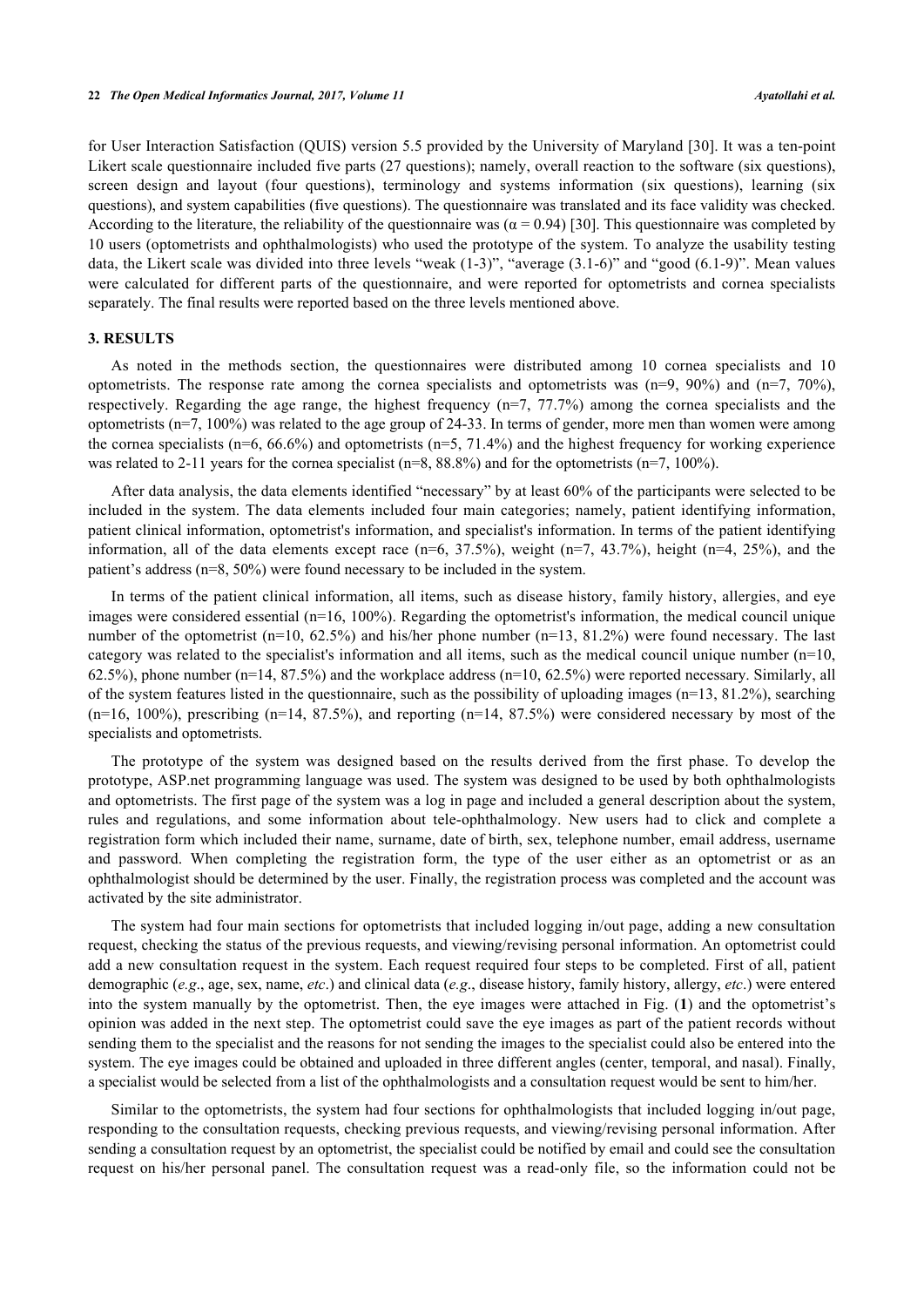for User Interaction Satisfaction (QUIS) version 5.5 provided by the University of Maryland [[30](#page-7-13)]. It was a ten-point Likert scale questionnaire included five parts (27 questions); namely, overall reaction to the software (six questions), screen design and layout (four questions), terminology and systems information (six questions), learning (six questions), and system capabilities (five questions). The questionnaire was translated and its face validity was checked. According to the literature, the reliability of the questionnaire was  $(\alpha = 0.94)$  [[30\]](#page-7-13). This questionnaire was completed by 10 users (optometrists and ophthalmologists) who used the prototype of the system. To analyze the usability testing data, the Likert scale was divided into three levels "weak (1-3)", "average (3.1-6)" and "good (6.1-9)". Mean values were calculated for different parts of the questionnaire, and were reported for optometrists and cornea specialists separately. The final results were reported based on the three levels mentioned above.

# **3. RESULTS**

As noted in the methods section, the questionnaires were distributed among 10 cornea specialists and 10 optometrists. The response rate among the cornea specialists and optometrists was  $(n=9, 90\%)$  and  $(n=7, 70\%)$ , respectively. Regarding the age range, the highest frequency (n=7, 77.7%) among the cornea specialists and the optometrists (n=7, 100%) was related to the age group of 24-33. In terms of gender, more men than women were among the cornea specialists (n=6,  $66.6\%$ ) and optometrists (n=5, 71.4%) and the highest frequency for working experience was related to 2-11 years for the cornea specialist (n=8, 88.8%) and for the optometrists (n=7, 100%).

After data analysis, the data elements identified "necessary" by at least 60% of the participants were selected to be included in the system. The data elements included four main categories; namely, patient identifying information, patient clinical information, optometrist's information, and specialist's information. In terms of the patient identifying information, all of the data elements except race  $(n=6, 37.5\%)$ , weight  $(n=7, 43.7\%)$ , height  $(n=4, 25\%)$ , and the patient's address (n=8, 50%) were found necessary to be included in the system.

In terms of the patient clinical information, all items, such as disease history, family history, allergies, and eye images were considered essential (n=16, 100%). Regarding the optometrist's information, the medical council unique number of the optometrist (n=10, 62.5%) and his/her phone number (n=13, 81.2%) were found necessary. The last category was related to the specialist's information and all items, such as the medical council unique number  $(n=10)$ , 62.5%), phone number (n=14, 87.5%) and the workplace address (n=10, 62.5%) were reported necessary. Similarly, all of the system features listed in the questionnaire, such as the possibility of uploading images (n=13, 81.2%), searching  $(n=16, 100\%)$ , prescribing  $(n=14, 87.5\%)$ , and reporting  $(n=14, 87.5\%)$  were considered necessary by most of the specialists and optometrists.

The prototype of the system was designed based on the results derived from the first phase. To develop the prototype, ASP.net programming language was used. The system was designed to be used by both ophthalmologists and optometrists. The first page of the system was a log in page and included a general description about the system, rules and regulations, and some information about tele-ophthalmology. New users had to click and complete a registration form which included their name, surname, date of birth, sex, telephone number, email address, username and password. When completing the registration form, the type of the user either as an optometrist or as an ophthalmologist should be determined by the user. Finally, the registration process was completed and the account was activated by the site administrator.

The system had four main sections for optometrists that included logging in/out page, adding a new consultation request, checking the status of the previous requests, and viewing/revising personal information. An optometrist could add a new consultation request in the system. Each request required four steps to be completed. First of all, patient demographic (*e.g*., age, sex, name, *etc*.) and clinical data (*e.g*., disease history, family history, allergy, *etc*.) were entered into the system manually by the optometrist. Then, the eye images were attached in Fig. (**[1](#page-3-0)**) and the optometrist's opinion was added in the next step. The optometrist could save the eye images as part of the patient records without sending them to the specialist and the reasons for not sending the images to the specialist could also be entered into the system. The eye images could be obtained and uploaded in three different angles (center, temporal, and nasal). Finally, a specialist would be selected from a list of the ophthalmologists and a consultation request would be sent to him/her.

Similar to the optometrists, the system had four sections for ophthalmologists that included logging in/out page, responding to the consultation requests, checking previous requests, and viewing/revising personal information. After sending a consultation request by an optometrist, the specialist could be notified by email and could see the consultation request on his/her personal panel. The consultation request was a read-only file, so the information could not be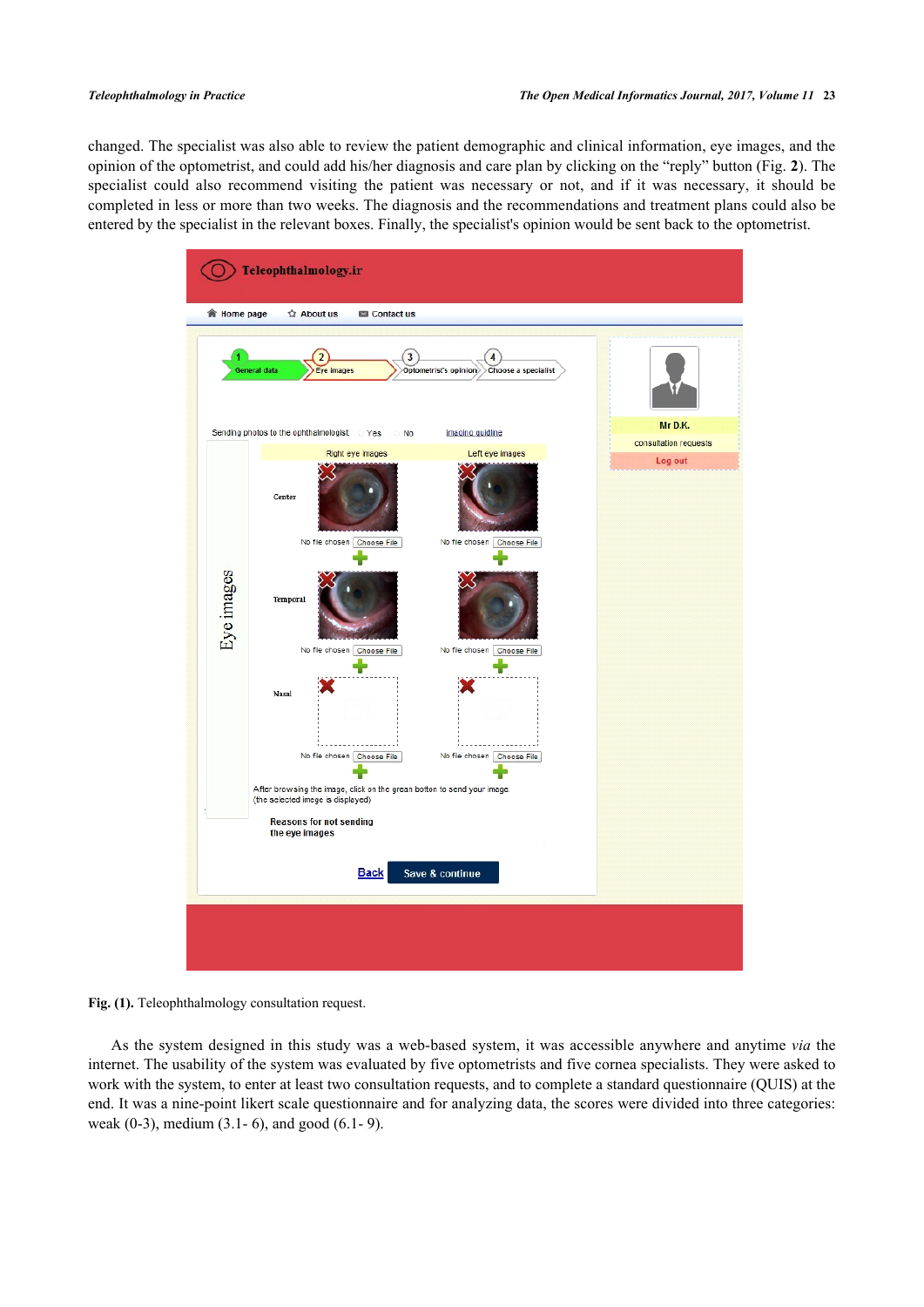<span id="page-3-0"></span>changed. The specialist was also able to review the patient demographic and clinical information, eye images, and the opinion of the optometrist, and could add his/her diagnosis and care plan by clicking on the "reply" button (Fig. **[2](#page-3-1)**). The specialist could also recommend visiting the patient was necessary or not, and if it was necessary, it should be completed in less or more than two weeks. The diagnosis and the recommendations and treatment plans could also be entered by the specialist in the relevant boxes. Finally, the specialist's opinion would be sent back to the optometrist.





<span id="page-3-1"></span>As the system designed in this study was a web-based system, it was accessible anywhere and anytime *via* the internet. The usability of the system was evaluated by five optometrists and five cornea specialists. They were asked to work with the system, to enter at least two consultation requests, and to complete a standard questionnaire (QUIS) at the end. It was a nine-point likert scale questionnaire and for analyzing data, the scores were divided into three categories: weak (0-3), medium (3.1- 6), and good (6.1- 9).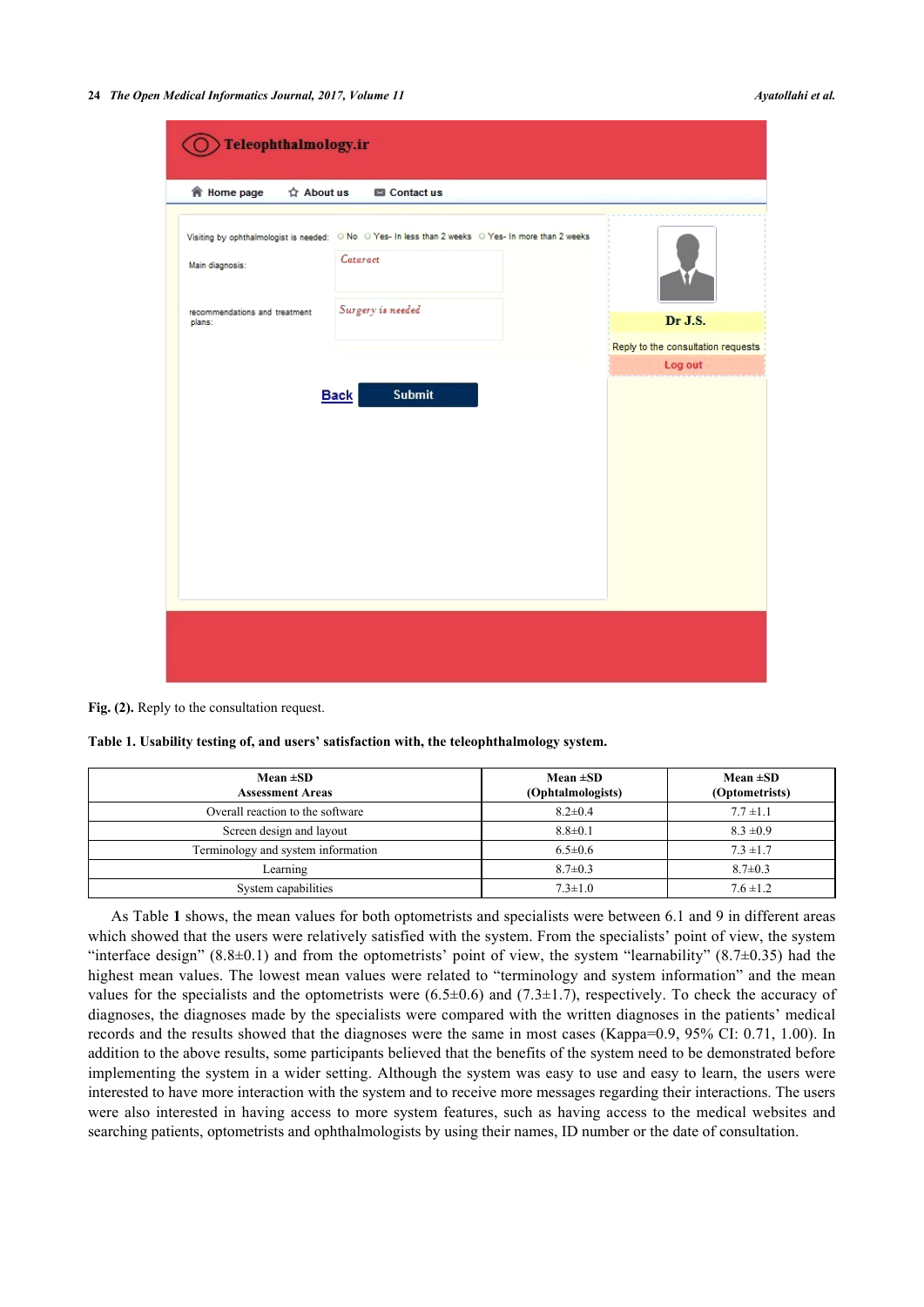**24** *The Open Medical Informatics Journal, 2017, Volume 11 Ayatollahi et al.*

| <b>會 Home page</b><br>$\Delta$ About us<br>Contact us<br>Visiting by ophthalmologist is needed: O No O Yes- In less than 2 weeks O Yes- In more than 2 weeks<br>Cataract<br>Main diagnosis:<br>Surgery is needed<br>recommendations and treatment<br>Dr J.S.<br>plans:<br>Log out<br><b>Submit</b><br><b>Back</b> | Teleophthalmology.ir |  |                                    |
|-------------------------------------------------------------------------------------------------------------------------------------------------------------------------------------------------------------------------------------------------------------------------------------------------------------------|----------------------|--|------------------------------------|
|                                                                                                                                                                                                                                                                                                                   |                      |  |                                    |
|                                                                                                                                                                                                                                                                                                                   |                      |  |                                    |
|                                                                                                                                                                                                                                                                                                                   |                      |  |                                    |
|                                                                                                                                                                                                                                                                                                                   |                      |  | Reply to the consultation requests |
|                                                                                                                                                                                                                                                                                                                   |                      |  |                                    |

**Fig. (2).** Reply to the consultation request.

<span id="page-4-0"></span>**Table 1. Usability testing of, and users' satisfaction with, the teleophthalmology system.**

| Mean $\pm SD$<br><b>Assessment Areas</b> | Mean $\pm SD$<br>(Ophtalmologists) | Mean $\pm SD$<br>(Optometrists) |
|------------------------------------------|------------------------------------|---------------------------------|
| Overall reaction to the software         | $8.2 \pm 0.4$                      | $7.7 \pm 1.1$                   |
| Screen design and layout                 | $8.8 \pm 0.1$                      | $8.3 \pm 0.9$                   |
| Terminology and system information       | $6.5 \pm 0.6$                      | $7.3 \pm 1.7$                   |
| Learning                                 | $8.7 \pm 0.3$                      | $8.7 \pm 0.3$                   |
| System capabilities                      | $7.3 \pm 1.0$                      | $7.6 \pm 1.2$                   |

As Table **[1](#page-4-0)** shows, the mean values for both optometrists and specialists were between 6.1 and 9 in different areas which showed that the users were relatively satisfied with the system. From the specialists' point of view, the system "interface design"  $(8.8\pm0.1)$  and from the optometrists' point of view, the system "learnability"  $(8.7\pm0.35)$  had the highest mean values. The lowest mean values were related to "terminology and system information" and the mean values for the specialists and the optometrists were  $(6.5\pm0.6)$  and  $(7.3\pm1.7)$ , respectively. To check the accuracy of diagnoses, the diagnoses made by the specialists were compared with the written diagnoses in the patients' medical records and the results showed that the diagnoses were the same in most cases (Kappa=0.9, 95% CI: 0.71, 1.00). In addition to the above results, some participants believed that the benefits of the system need to be demonstrated before implementing the system in a wider setting. Although the system was easy to use and easy to learn, the users were interested to have more interaction with the system and to receive more messages regarding their interactions. The users were also interested in having access to more system features, such as having access to the medical websites and searching patients, optometrists and ophthalmologists by using their names, ID number or the date of consultation.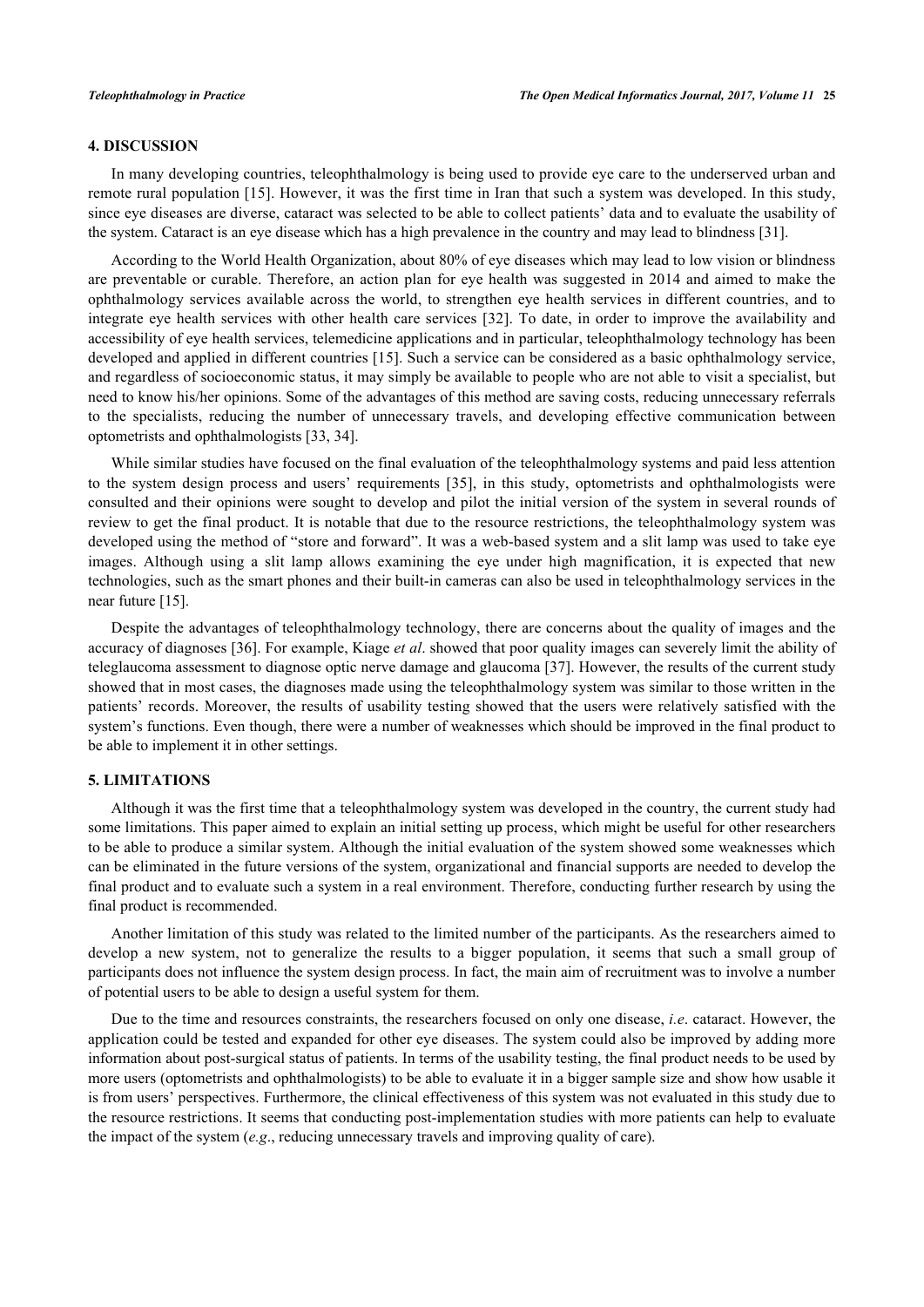# **4. DISCUSSION**

In many developing countries, teleophthalmology is being used to provide eye care to the underserved urban and remote rural population [[15](#page-7-2)]. However, it was the first time in Iran that such a system was developed. In this study, since eye diseases are diverse, cataract was selected to be able to collect patients' data and to evaluate the usability of the system. Cataract is an eye disease which has a high prevalence in the country and may lead to blindness [\[31](#page-7-14)].

According to the World Health Organization, about 80% of eye diseases which may lead to low vision or blindness are preventable or curable. Therefore, an action plan for eye health was suggested in 2014 and aimed to make the ophthalmology services available across the world, to strengthen eye health services in different countries, and to integrate eye health services with other health care services [[32\]](#page-7-15). To date, in order to improve the availability and accessibility of eye health services, telemedicine applications and in particular, teleophthalmology technology has been developed and applied in different countries [[15\]](#page-7-2). Such a service can be considered as a basic ophthalmology service, and regardless of socioeconomic status, it may simply be available to people who are not able to visit a specialist, but need to know his/her opinions. Some of the advantages of this method are saving costs, reducing unnecessary referrals to the specialists, reducing the number of unnecessary travels, and developing effective communication between optometrists and ophthalmologists [\[33](#page-7-16), [34](#page-8-0)].

While similar studies have focused on the final evaluation of the teleophthalmology systems and paid less attention to the system design process and users' requirements[[35](#page-8-1)], in this study, optometrists and ophthalmologists were consulted and their opinions were sought to develop and pilot the initial version of the system in several rounds of review to get the final product. It is notable that due to the resource restrictions, the teleophthalmology system was developed using the method of "store and forward". It was a web-based system and a slit lamp was used to take eye images. Although using a slit lamp allows examining the eye under high magnification, it is expected that new technologies, such as the smart phones and their built-in cameras can also be used in teleophthalmology services in the near future [\[15](#page-7-2)].

Despite the advantages of teleophthalmology technology, there are concerns about the quality of images and the accuracy of diagnoses [\[36](#page-8-2)]. For example, Kiage *et al*. showed that poor quality images can severely limit the ability of teleglaucoma assessment to diagnose optic nerve damage and glaucoma [\[37](#page-8-3)]. However, the results of the current study showed that in most cases, the diagnoses made using the teleophthalmology system was similar to those written in the patients' records. Moreover, the results of usability testing showed that the users were relatively satisfied with the system's functions. Even though, there were a number of weaknesses which should be improved in the final product to be able to implement it in other settings.

# **5. LIMITATIONS**

Although it was the first time that a teleophthalmology system was developed in the country, the current study had some limitations. This paper aimed to explain an initial setting up process, which might be useful for other researchers to be able to produce a similar system. Although the initial evaluation of the system showed some weaknesses which can be eliminated in the future versions of the system, organizational and financial supports are needed to develop the final product and to evaluate such a system in a real environment. Therefore, conducting further research by using the final product is recommended.

Another limitation of this study was related to the limited number of the participants. As the researchers aimed to develop a new system, not to generalize the results to a bigger population, it seems that such a small group of participants does not influence the system design process. In fact, the main aim of recruitment was to involve a number of potential users to be able to design a useful system for them.

Due to the time and resources constraints, the researchers focused on only one disease, *i.e*. cataract. However, the application could be tested and expanded for other eye diseases. The system could also be improved by adding more information about post-surgical status of patients. In terms of the usability testing, the final product needs to be used by more users (optometrists and ophthalmologists) to be able to evaluate it in a bigger sample size and show how usable it is from users' perspectives. Furthermore, the clinical effectiveness of this system was not evaluated in this study due to the resource restrictions. It seems that conducting post-implementation studies with more patients can help to evaluate the impact of the system (*e.g*., reducing unnecessary travels and improving quality of care).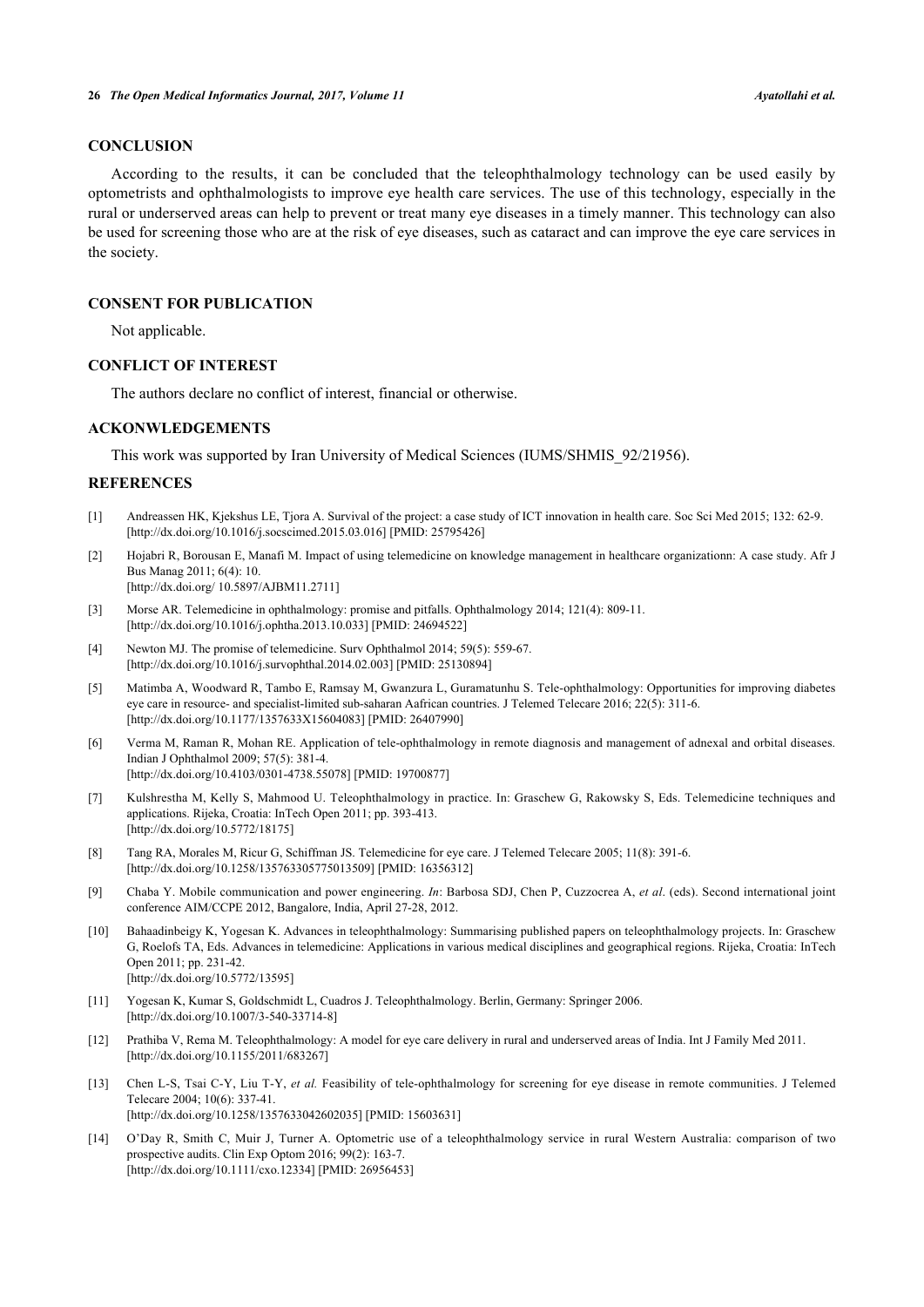# **CONCLUSION**

According to the results, it can be concluded that the teleophthalmology technology can be used easily by optometrists and ophthalmologists to improve eye health care services. The use of this technology, especially in the rural or underserved areas can help to prevent or treat many eye diseases in a timely manner. This technology can also be used for screening those who are at the risk of eye diseases, such as cataract and can improve the eye care services in the society.

# **CONSENT FOR PUBLICATION**

Not applicable.

# **CONFLICT OF INTEREST**

The authors declare no conflict of interest, financial or otherwise.

### **ACKONWLEDGEMENTS**

This work was supported by Iran University of Medical Sciences (IUMS/SHMIS\_92/21956).

# **REFERENCES**

- [1] Andreassen HK, Kjekshus LE, Tjora A. Survival of the project: a case study of ICT innovation in health care. Soc Sci Med 2015; 132: 62-9. [\[http://dx.doi.org/10.1016/j.socscimed.2015.03.016](http://dx.doi.org/10.1016/j.socscimed.2015.03.016)] [PMID: [25795426\]](http://www.ncbi.nlm.nih.gov/pubmed/25795426)
- [2] Hojabri R, Borousan E, Manafi M. Impact of using telemedicine on knowledge management in healthcare organizationn: A case study. Afr J Bus Manag 2011; 6(4): 10. [\[http://dx.doi.org/ 10.5897/AJBM11.2711](http://dx.doi.org/%2010.5897/AJBM11.2711)]
- <span id="page-6-0"></span>[3] Morse AR. Telemedicine in ophthalmology: promise and pitfalls. Ophthalmology 2014; 121(4): 809-11. [\[http://dx.doi.org/10.1016/j.ophtha.2013.10.033\]](http://dx.doi.org/10.1016/j.ophtha.2013.10.033) [PMID: [24694522](http://www.ncbi.nlm.nih.gov/pubmed/24694522)]
- <span id="page-6-1"></span>[4] Newton MJ. The promise of telemedicine. Surv Ophthalmol 2014; 59(5): 559-67. [\[http://dx.doi.org/10.1016/j.survophthal.2014.02.003\]](http://dx.doi.org/10.1016/j.survophthal.2014.02.003) [PMID: [25130894](http://www.ncbi.nlm.nih.gov/pubmed/25130894)]
- [5] Matimba A, Woodward R, Tambo E, Ramsay M, Gwanzura L, Guramatunhu S. Tele-ophthalmology: Opportunities for improving diabetes eye care in resource- and specialist-limited sub-saharan Aafrican countries. J Telemed Telecare 2016; 22(5): 311-6. [\[http://dx.doi.org/10.1177/1357633X15604083\]](http://dx.doi.org/10.1177/1357633X15604083) [PMID: [26407990](http://www.ncbi.nlm.nih.gov/pubmed/26407990)]
- <span id="page-6-3"></span><span id="page-6-2"></span>[6] Verma M, Raman R, Mohan RE. Application of tele-ophthalmology in remote diagnosis and management of adnexal and orbital diseases. Indian J Ophthalmol 2009; 57(5): 381-4. [\[http://dx.doi.org/10.4103/0301-4738.55078](http://dx.doi.org/10.4103/0301-4738.55078)] [PMID: [19700877](http://www.ncbi.nlm.nih.gov/pubmed/19700877)]
- <span id="page-6-4"></span>[7] Kulshrestha M, Kelly S, Mahmood U. Teleophthalmology in practice. In: Graschew G, Rakowsky S, Eds. Telemedicine techniques and applications. Rijeka, Croatia: InTech Open 2011; pp. 393-413. [\[http://dx.doi.org/10.5772/18175\]](http://dx.doi.org/10.5772/18175)
- <span id="page-6-5"></span>[8] Tang RA, Morales M, Ricur G, Schiffman JS. Telemedicine for eye care. J Telemed Telecare 2005; 11(8): 391-6. [\[http://dx.doi.org/10.1258/135763305775013509\]](http://dx.doi.org/10.1258/135763305775013509) [PMID: [16356312](http://www.ncbi.nlm.nih.gov/pubmed/16356312)]
- [9] Chaba Y. Mobile communication and power engineering. *In*: Barbosa SDJ, Chen P, Cuzzocrea A, *et al*. (eds). Second international joint conference AIM/CCPE 2012, Bangalore, India, April 27-28, 2012.
- <span id="page-6-6"></span>[10] Bahaadinbeigy K, Yogesan K. Advances in teleophthalmology: Summarising published papers on teleophthalmology projects. In: Graschew G, Roelofs TA, Eds. Advances in telemedicine: Applications in various medical disciplines and geographical regions. Rijeka, Croatia: InTech Open 2011; pp. 231-42. [\[http://dx.doi.org/10.5772/13595\]](http://dx.doi.org/10.5772/13595)
- <span id="page-6-7"></span>[11] Yogesan K, Kumar S, Goldschmidt L, Cuadros J. Teleophthalmology. Berlin, Germany: Springer 2006. [\[http://dx.doi.org/10.1007/3-540-33714-8\]](http://dx.doi.org/10.1007/3-540-33714-8)
- <span id="page-6-8"></span>[12] Prathiba V, Rema M. Teleophthalmology: A model for eye care delivery in rural and underserved areas of India. Int J Family Med 2011. [\[http://dx.doi.org/10.1155/2011/683267](http://dx.doi.org/10.1155/2011/683267)]
- <span id="page-6-9"></span>[13] Chen L-S, Tsai C-Y, Liu T-Y, *et al.* Feasibility of tele-ophthalmology for screening for eye disease in remote communities. J Telemed Telecare 2004; 10(6): 337-41. [\[http://dx.doi.org/10.1258/1357633042602035](http://dx.doi.org/10.1258/1357633042602035)] [PMID[: 15603631](http://www.ncbi.nlm.nih.gov/pubmed/15603631)]
- <span id="page-6-10"></span>[14] O'Day R, Smith C, Muir J, Turner A. Optometric use of a teleophthalmology service in rural Western Australia: comparison of two prospective audits. Clin Exp Optom 2016; 99(2): 163-7. [\[http://dx.doi.org/10.1111/cxo.12334](http://dx.doi.org/10.1111/cxo.12334)] [PMID[: 26956453](http://www.ncbi.nlm.nih.gov/pubmed/26956453)]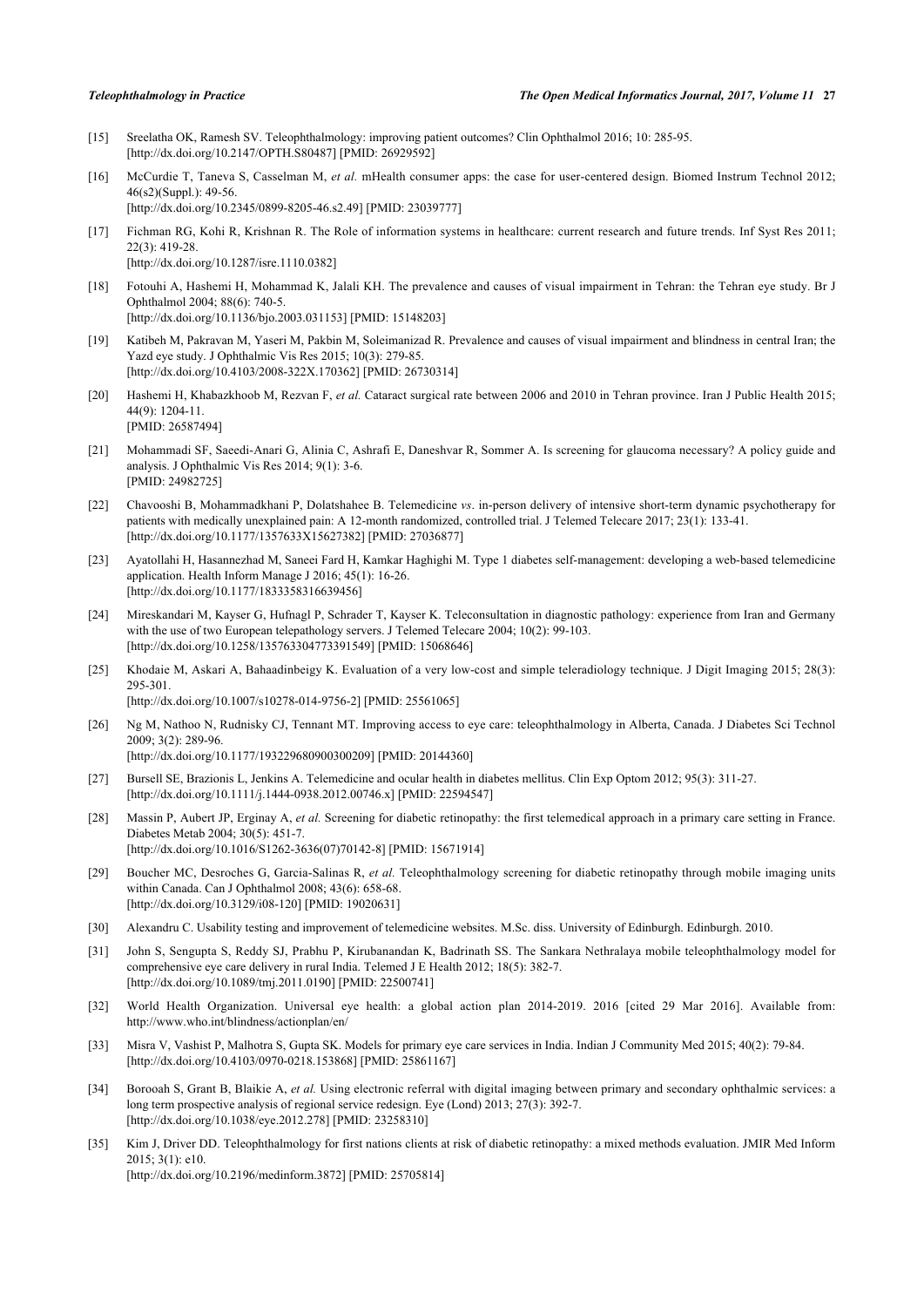- <span id="page-7-0"></span>[15] Sreelatha OK, Ramesh SV. Teleophthalmology: improving patient outcomes? Clin Ophthalmol 2016; 10: 285-95. [\[http://dx.doi.org/10.2147/OPTH.S80487](http://dx.doi.org/10.2147/OPTH.S80487)] [PMID: [26929592\]](http://www.ncbi.nlm.nih.gov/pubmed/26929592)
- [16] McCurdie T, Taneva S, Casselman M, *et al.* mHealth consumer apps: the case for user-centered design. Biomed Instrum Technol 2012; 46(s2)(Suppl.): 49-56. [\[http://dx.doi.org/10.2345/0899-8205-46.s2.49](http://dx.doi.org/10.2345/0899-8205-46.s2.49)] [PMID: [23039777\]](http://www.ncbi.nlm.nih.gov/pubmed/23039777)
- <span id="page-7-1"></span>[17] Fichman RG, Kohi R, Krishnan R. The Role of information systems in healthcare: current research and future trends. Inf Syst Res 2011; 22(3): 419-28. [\[http://dx.doi.org/10.1287/isre.1110.0382](http://dx.doi.org/10.1287/isre.1110.0382)]
- <span id="page-7-3"></span><span id="page-7-2"></span>[18] Fotouhi A, Hashemi H, Mohammad K, Jalali KH. The prevalence and causes of visual impairment in Tehran: the Tehran eye study. Br J Ophthalmol 2004; 88(6): 740-5. [\[http://dx.doi.org/10.1136/bjo.2003.031153](http://dx.doi.org/10.1136/bjo.2003.031153)] [PMID: [15148203\]](http://www.ncbi.nlm.nih.gov/pubmed/15148203)
- <span id="page-7-4"></span>[19] Katibeh M, Pakravan M, Yaseri M, Pakbin M, Soleimanizad R. Prevalence and causes of visual impairment and blindness in central Iran; the Yazd eye study. J Ophthalmic Vis Res 2015; 10(3): 279-85. [\[http://dx.doi.org/10.4103/2008-322X.170362](http://dx.doi.org/10.4103/2008-322X.170362)] [PMID: [26730314\]](http://www.ncbi.nlm.nih.gov/pubmed/26730314)
- <span id="page-7-5"></span>[20] Hashemi H, Khabazkhoob M, Rezvan F, *et al.* Cataract surgical rate between 2006 and 2010 in Tehran province. Iran J Public Health 2015; 44(9): 1204-11. [PMID: [26587494\]](http://www.ncbi.nlm.nih.gov/pubmed/26587494)
- <span id="page-7-6"></span>[21] Mohammadi SF, Saeedi-Anari G, Alinia C, Ashrafi E, Daneshvar R, Sommer A. Is screening for glaucoma necessary? A policy guide and analysis. J Ophthalmic Vis Res 2014; 9(1): 3-6. [PMID: [24982725\]](http://www.ncbi.nlm.nih.gov/pubmed/24982725)
- <span id="page-7-7"></span>[22] Chavooshi B, Mohammadkhani P, Dolatshahee B. Telemedicine *vs*. in-person delivery of intensive short-term dynamic psychotherapy for patients with medically unexplained pain: A 12-month randomized, controlled trial. J Telemed Telecare 2017; 23(1): 133-41. [\[http://dx.doi.org/10.1177/1357633X15627382\]](http://dx.doi.org/10.1177/1357633X15627382) [PMID: [27036877](http://www.ncbi.nlm.nih.gov/pubmed/27036877)]
- <span id="page-7-8"></span>[23] Ayatollahi H, Hasannezhad M, Saneei Fard H, Kamkar Haghighi M. Type 1 diabetes self-management: developing a web-based telemedicine application. Health Inform Manage J 2016; 45(1): 16-26. [\[http://dx.doi.org/10.1177/1833358316639456\]](http://dx.doi.org/10.1177/1833358316639456)
- <span id="page-7-9"></span>[24] Mireskandari M, Kayser G, Hufnagl P, Schrader T, Kayser K. Teleconsultation in diagnostic pathology: experience from Iran and Germany with the use of two European telepathology servers. J Telemed Telecare 2004; 10(2): 99-103. [\[http://dx.doi.org/10.1258/135763304773391549\]](http://dx.doi.org/10.1258/135763304773391549) [PMID: [15068646](http://www.ncbi.nlm.nih.gov/pubmed/15068646)]
- [25] Khodaie M, Askari A, Bahaadinbeigy K. Evaluation of a very low-cost and simple teleradiology technique. J Digit Imaging 2015; 28(3): 295-301. [\[http://dx.doi.org/10.1007/s10278-014-9756-2\]](http://dx.doi.org/10.1007/s10278-014-9756-2) [PMID: [25561065](http://www.ncbi.nlm.nih.gov/pubmed/25561065)]
- [26] Ng M, Nathoo N, Rudnisky CJ, Tennant MT. Improving access to eye care: teleophthalmology in Alberta, Canada. J Diabetes Sci Technol 2009; 3(2): 289-96. [\[http://dx.doi.org/10.1177/193229680900300209\]](http://dx.doi.org/10.1177/193229680900300209) [PMID: [20144360](http://www.ncbi.nlm.nih.gov/pubmed/20144360)]
- <span id="page-7-10"></span>[27] Bursell SE, Brazionis L, Jenkins A. Telemedicine and ocular health in diabetes mellitus. Clin Exp Optom 2012; 95(3): 311-27. [\[http://dx.doi.org/10.1111/j.1444-0938.2012.00746.x\]](http://dx.doi.org/10.1111/j.1444-0938.2012.00746.x) [PMID: [22594547](http://www.ncbi.nlm.nih.gov/pubmed/22594547)]
- [28] Massin P, Aubert JP, Erginay A, *et al.* Screening for diabetic retinopathy: the first telemedical approach in a primary care setting in France. Diabetes Metab 2004; 30(5): 451-7. [\[http://dx.doi.org/10.1016/S1262-3636\(07\)70142-8\]](http://dx.doi.org/10.1016/S1262-3636(07)70142-8) [PMID: [15671914](http://www.ncbi.nlm.nih.gov/pubmed/15671914)]
- <span id="page-7-11"></span>[29] Boucher MC, Desroches G, Garcia-Salinas R, *et al.* Teleophthalmology screening for diabetic retinopathy through mobile imaging units within Canada. Can J Ophthalmol 2008; 43(6): 658-68. [\[http://dx.doi.org/10.3129/i08-120\]](http://dx.doi.org/10.3129/i08-120) [PMID: [19020631](http://www.ncbi.nlm.nih.gov/pubmed/19020631)]
- [30] Alexandru C. Usability testing and improvement of telemedicine websites. M.Sc. diss. University of Edinburgh. Edinburgh. 2010.
- [31] John S, Sengupta S, Reddy SJ, Prabhu P, Kirubanandan K, Badrinath SS. The Sankara Nethralaya mobile teleophthalmology model for comprehensive eye care delivery in rural India. Telemed J E Health 2012; 18(5): 382-7. [\[http://dx.doi.org/10.1089/tmj.2011.0190](http://dx.doi.org/10.1089/tmj.2011.0190)] [PMID: [22500741](http://www.ncbi.nlm.nih.gov/pubmed/22500741)]
- <span id="page-7-12"></span>[32] World Health Organization. Universal eye health: a global action plan 2014-2019. 2016 [cited 29 Mar 2016]. Available from: http://www.who.int/blindness/actionplan/en/
- <span id="page-7-13"></span>[33] Misra V, Vashist P, Malhotra S, Gupta SK. Models for primary eye care services in India. Indian J Community Med 2015; 40(2): 79-84. [\[http://dx.doi.org/10.4103/0970-0218.153868](http://dx.doi.org/10.4103/0970-0218.153868)] [PMID: [25861167](http://www.ncbi.nlm.nih.gov/pubmed/25861167)]
- <span id="page-7-14"></span>[34] Borooah S, Grant B, Blaikie A, *et al.* Using electronic referral with digital imaging between primary and secondary ophthalmic services: a long term prospective analysis of regional service redesign. Eye (Lond) 2013; 27(3): 392-7. [[http://dx.doi.org/10.1038/eye.2012.278\]](http://dx.doi.org/10.1038/eye.2012.278) [PMID: [23258310\]](http://www.ncbi.nlm.nih.gov/pubmed/23258310)
- <span id="page-7-16"></span><span id="page-7-15"></span>[35] Kim J, Driver DD. Teleophthalmology for first nations clients at risk of diabetic retinopathy: a mixed methods evaluation. JMIR Med Inform 2015; 3(1): e10. [[http://dx.doi.org/10.2196/medinform.3872\]](http://dx.doi.org/10.2196/medinform.3872) [PMID: [25705814\]](http://www.ncbi.nlm.nih.gov/pubmed/25705814)